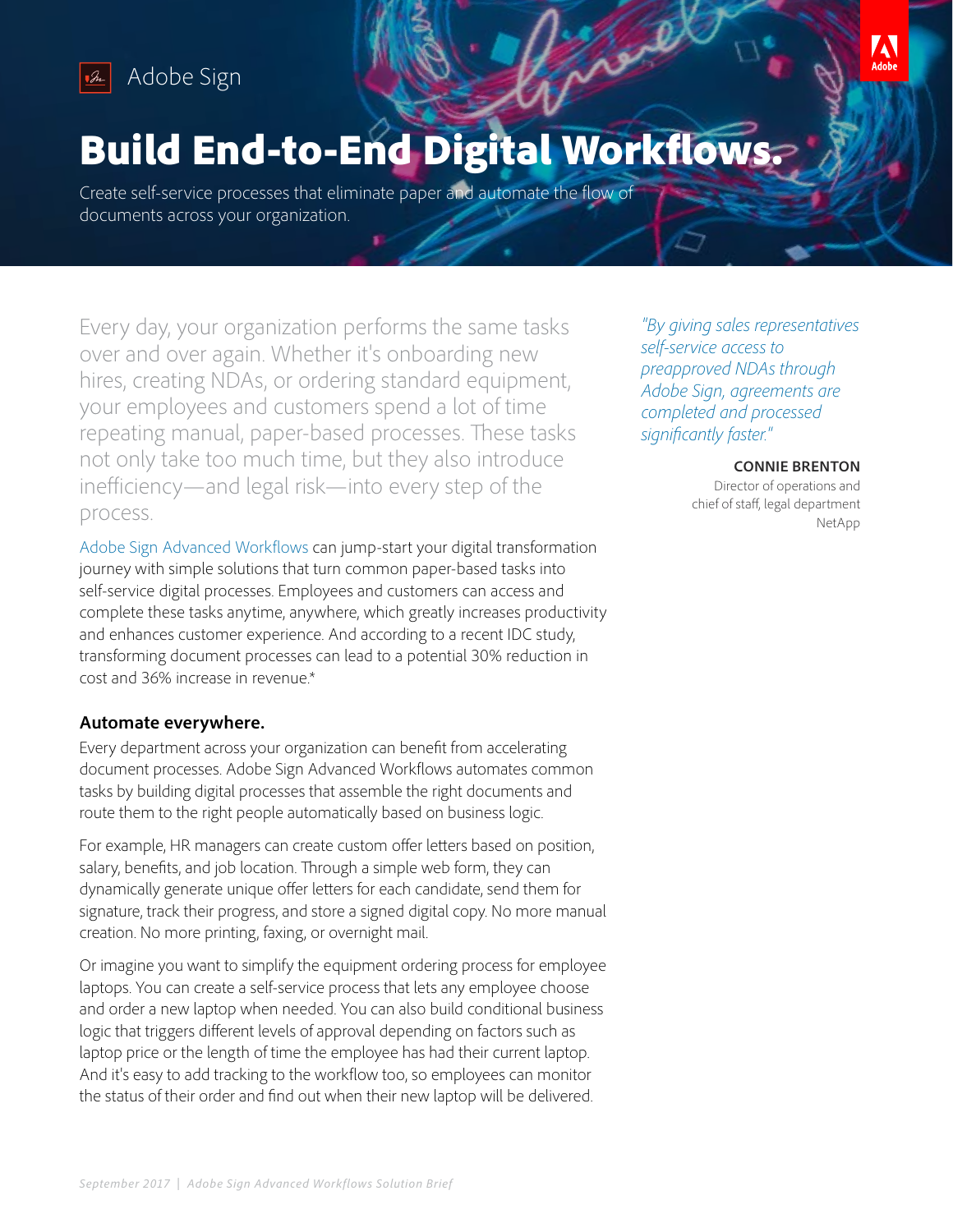

# Build End-to-End Digital Workflows.

Create self-service processes that eliminate paper and automate the flow of documents across your organization.

Every day, your organization performs the same tasks over and over again. Whether it's onboarding new hires, creating NDAs, or ordering standard equipment, your employees and customers spend a lot of time repeating manual, paper-based processes. These tasks not only take too much time, but they also introduce inefficiency—and legal risk—into every step of the process.

[Adobe Sign Advanced Workflows](https://acrobat.adobe.com/us/en/sign/capabilities/document-workflows.html) can jump-start your digital transformation journey with simple solutions that turn common paper-based tasks into self-service digital processes. Employees and customers can access and complete these tasks anytime, anywhere, which greatly increases productivity and enhances customer experience. And according to a recent IDC study, transforming document processes can lead to a potential 30% reduction in cost and 36% increase in revenue.\*

### **Automate everywhere.**

Every department across your organization can benefit from accelerating document processes. Adobe Sign Advanced Workflows automates common tasks by building digital processes that assemble the right documents and route them to the right people automatically based on business logic.

For example, HR managers can create custom offer letters based on position, salary, benefits, and job location. Through a simple web form, they can dynamically generate unique offer letters for each candidate, send them for signature, track their progress, and store a signed digital copy. No more manual creation. No more printing, faxing, or overnight mail.

Or imagine you want to simplify the equipment ordering process for employee laptops. You can create a self-service process that lets any employee choose and order a new laptop when needed. You can also build conditional business logic that triggers different levels of approval depending on factors such as laptop price or the length of time the employee has had their current laptop. And it's easy to add tracking to the workflow too, so employees can monitor the status of their order and find out when their new laptop will be delivered.

*"By giving sales representatives self-service access to preapproved NDAs through Adobe Sign, agreements are completed and processed significantly faster."*

#### **CONNIE BRENTON**

**AN** 

Director of operations and chief of staff, legal department NetApp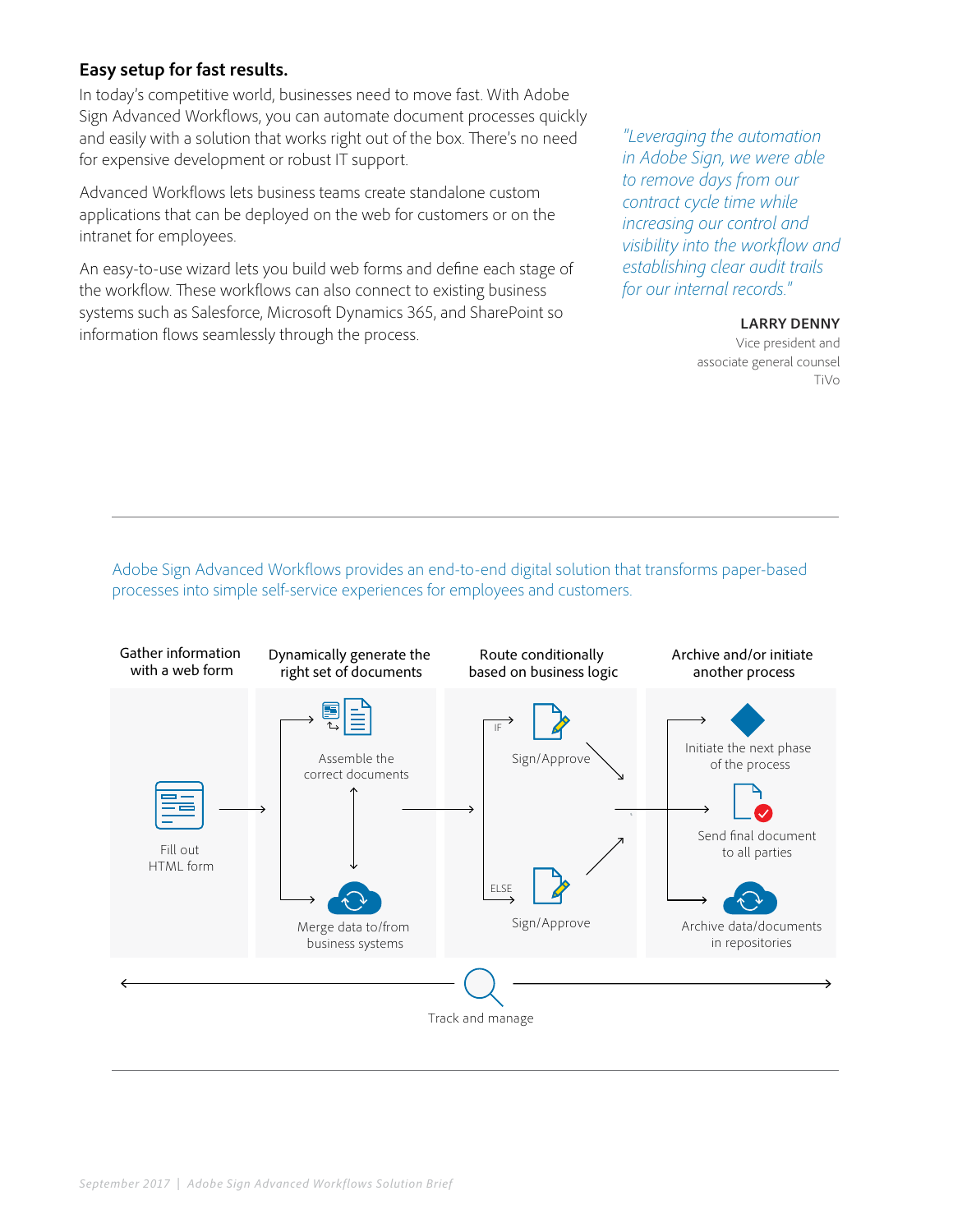## **Easy setup for fast results.**

In today's competitive world, businesses need to move fast. With Adobe Sign Advanced Workflows, you can automate document processes quickly and easily with a solution that works right out of the box. There's no need for expensive development or robust IT support.

Advanced Workflows lets business teams create standalone custom applications that can be deployed on the web for customers or on the intranet for employees.

An easy-to-use wizard lets you build web forms and define each stage of the workflow. These workflows can also connect to existing business systems such as Salesforce, Microsoft Dynamics 365, and SharePoint so information flows seamlessly through the process.

*"Leveraging the automation in Adobe Sign, we were able to remove days from our contract cycle time while increasing our control and visibility into the workflow and establishing clear audit trails for our internal records."*

#### **LARRY DENNY**

Vice president and associate general counsel TiVo

Adobe Sign Advanced Workflows provides an end-to-end digital solution that transforms paper-based processes into simple self-service experiences for employees and customers.